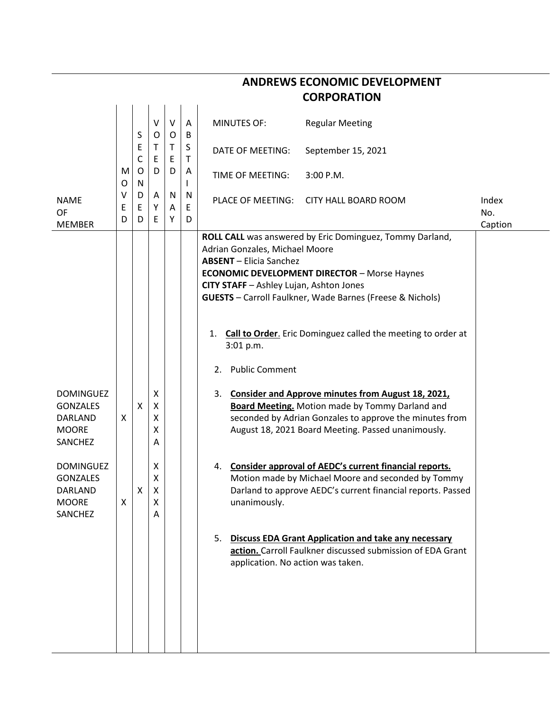|                                                                           |             |                |                       |             |                   | <b>CORPORATION</b>                                                                                                                                                                                                                                                                                                                                                                                                          |                         |
|---------------------------------------------------------------------------|-------------|----------------|-----------------------|-------------|-------------------|-----------------------------------------------------------------------------------------------------------------------------------------------------------------------------------------------------------------------------------------------------------------------------------------------------------------------------------------------------------------------------------------------------------------------------|-------------------------|
|                                                                           |             | S              | V<br>0                | V<br>0      | $\mathsf{A}$<br>B | <b>MINUTES OF:</b><br><b>Regular Meeting</b>                                                                                                                                                                                                                                                                                                                                                                                |                         |
|                                                                           |             | E<br>C         | Τ<br>E                | T<br>E      | S<br>$\mathsf{T}$ | September 15, 2021<br><b>DATE OF MEETING:</b>                                                                                                                                                                                                                                                                                                                                                                               |                         |
|                                                                           | M<br>O      | O<br>${\sf N}$ | D                     | D           | A<br>I            | TIME OF MEETING:<br>$3:00$ P.M.                                                                                                                                                                                                                                                                                                                                                                                             |                         |
| <b>NAME</b><br>OF<br><b>MEMBER</b>                                        | ٧<br>Ε<br>D | D<br>Ε<br>D    | A<br>Υ<br>E           | N<br>Α<br>Υ | N<br>Ε<br>D       | PLACE OF MEETING:<br><b>CITY HALL BOARD ROOM</b>                                                                                                                                                                                                                                                                                                                                                                            | Index<br>No.<br>Caption |
|                                                                           |             |                |                       |             |                   | ROLL CALL was answered by Eric Dominguez, Tommy Darland,<br>Adrian Gonzales, Michael Moore<br><b>ABSENT</b> - Elicia Sanchez<br><b>ECONOMIC DEVELOPMENT DIRECTOR - Morse Haynes</b><br>CITY STAFF - Ashley Lujan, Ashton Jones<br><b>GUESTS</b> - Carroll Faulkner, Wade Barnes (Freese & Nichols)<br><b>Call to Order.</b> Eric Dominguez called the meeting to order at<br>1.<br>3:01 p.m.<br><b>Public Comment</b><br>2. |                         |
| <b>DOMINGUEZ</b><br><b>GONZALES</b><br>DARLAND<br><b>MOORE</b><br>SANCHEZ | X           | X              | X<br>Χ<br>х<br>Χ<br>Α |             |                   | 3. Consider and Approve minutes from August 18, 2021,<br><b>Board Meeting.</b> Motion made by Tommy Darland and<br>seconded by Adrian Gonzales to approve the minutes from<br>August 18, 2021 Board Meeting. Passed unanimously.                                                                                                                                                                                            |                         |
| <b>DOMINGUEZ</b><br><b>GONZALES</b><br>DARLAND<br><b>MOORE</b><br>SANCHEZ | X           | х              | х<br>Χ<br>X<br>X<br>A |             |                   | Consider approval of AEDC's current financial reports.<br>4.<br>Motion made by Michael Moore and seconded by Tommy<br>Darland to approve AEDC's current financial reports. Passed<br>unanimously.                                                                                                                                                                                                                           |                         |
|                                                                           |             |                |                       |             |                   | <b>Discuss EDA Grant Application and take any necessary</b><br>5.<br>action. Carroll Faulkner discussed submission of EDA Grant<br>application. No action was taken.                                                                                                                                                                                                                                                        |                         |

## **ANDREWS ECONOMIC DEVELOPMENT**